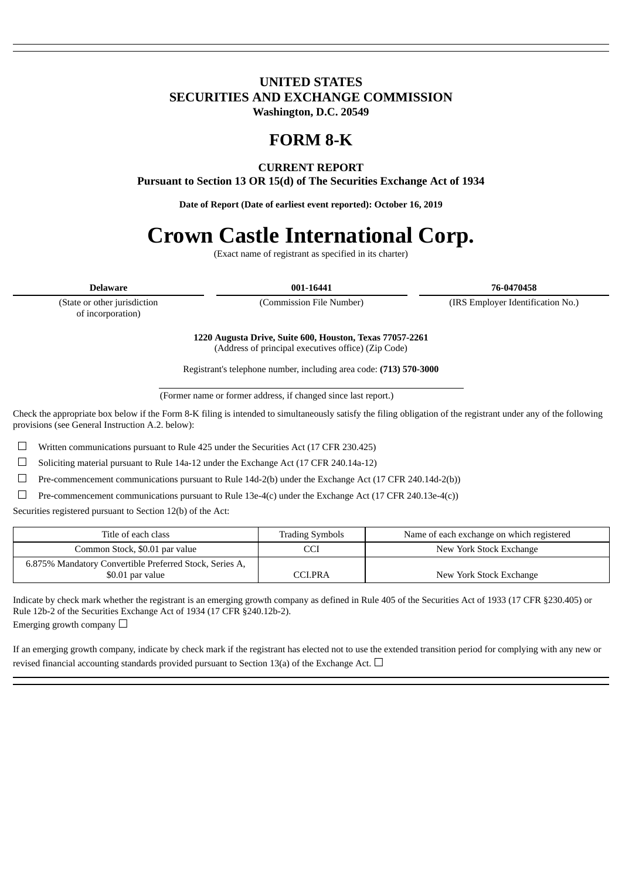### **UNITED STATES SECURITIES AND EXCHANGE COMMISSION Washington, D.C. 20549**

## **FORM 8-K**

### **CURRENT REPORT**

**Pursuant to Section 13 OR 15(d) of The Securities Exchange Act of 1934**

**Date of Report (Date of earliest event reported): October 16, 2019**

# **Crown Castle International Corp.**

(Exact name of registrant as specified in its charter)

**Delaware 001-16441 76-0470458**

(State or other jurisdiction of incorporation)

(Commission File Number) (IRS Employer Identification No.)

**1220 Augusta Drive, Suite 600, Houston, Texas 77057-2261** (Address of principal executives office) (Zip Code)

Registrant's telephone number, including area code: **(713) 570-3000**

(Former name or former address, if changed since last report.)

Check the appropriate box below if the Form 8-K filing is intended to simultaneously satisfy the filing obligation of the registrant under any of the following provisions (see General Instruction A.2. below):

☐ Written communications pursuant to Rule 425 under the Securities Act (17 CFR 230.425)

☐ Soliciting material pursuant to Rule 14a-12 under the Exchange Act (17 CFR 240.14a-12)

☐ Pre-commencement communications pursuant to Rule 14d-2(b) under the Exchange Act (17 CFR 240.14d-2(b))

□ Pre-commencement communications pursuant to Rule 13e-4(c) under the Exchange Act (17 CFR 240.13e-4(c))

Securities registered pursuant to Section 12(b) of the Act:

| Title of each class                                                         | <b>Trading Symbols</b> | Name of each exchange on which registered |
|-----------------------------------------------------------------------------|------------------------|-------------------------------------------|
| Common Stock, \$0.01 par value                                              |                        | New York Stock Exchange                   |
| 6.875% Mandatory Convertible Preferred Stock, Series A,<br>\$0.01 par value | CCI.PRA                | New York Stock Exchange                   |

Indicate by check mark whether the registrant is an emerging growth company as defined in Rule 405 of the Securities Act of 1933 (17 CFR §230.405) or Rule 12b-2 of the Securities Exchange Act of 1934 (17 CFR §240.12b-2). Emerging growth company  $\Box$ 

If an emerging growth company, indicate by check mark if the registrant has elected not to use the extended transition period for complying with any new or revised financial accounting standards provided pursuant to Section 13(a) of the Exchange Act.  $\Box$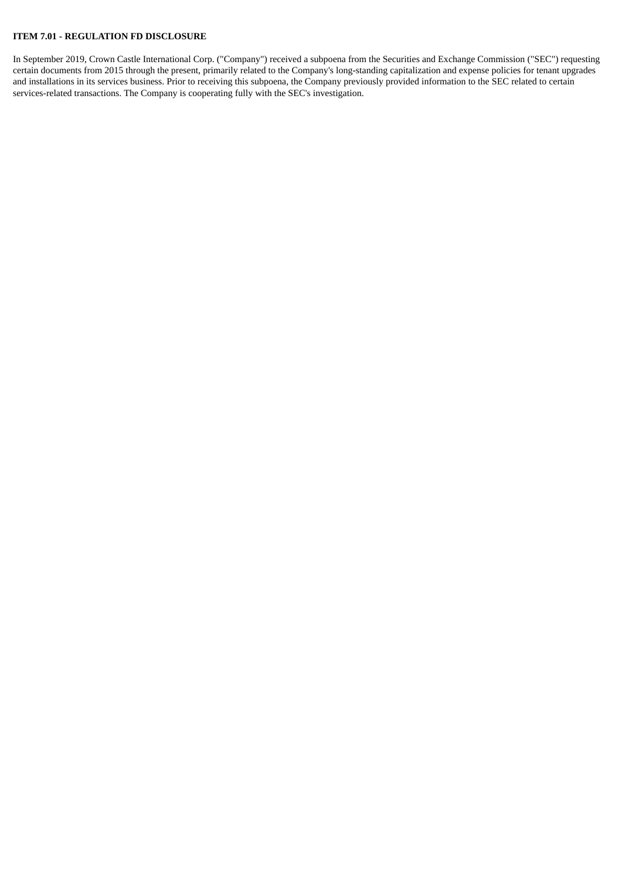#### **ITEM 7.01 - REGULATION FD DISCLOSURE**

In September 2019, Crown Castle International Corp. ("Company") received a subpoena from the Securities and Exchange Commission ("SEC") requesting certain documents from 2015 through the present, primarily related to the Company's long-standing capitalization and expense policies for tenant upgrades and installations in its services business. Prior to receiving this subpoena, the Company previously provided information to the SEC related to certain services-related transactions. The Company is cooperating fully with the SEC's investigation.